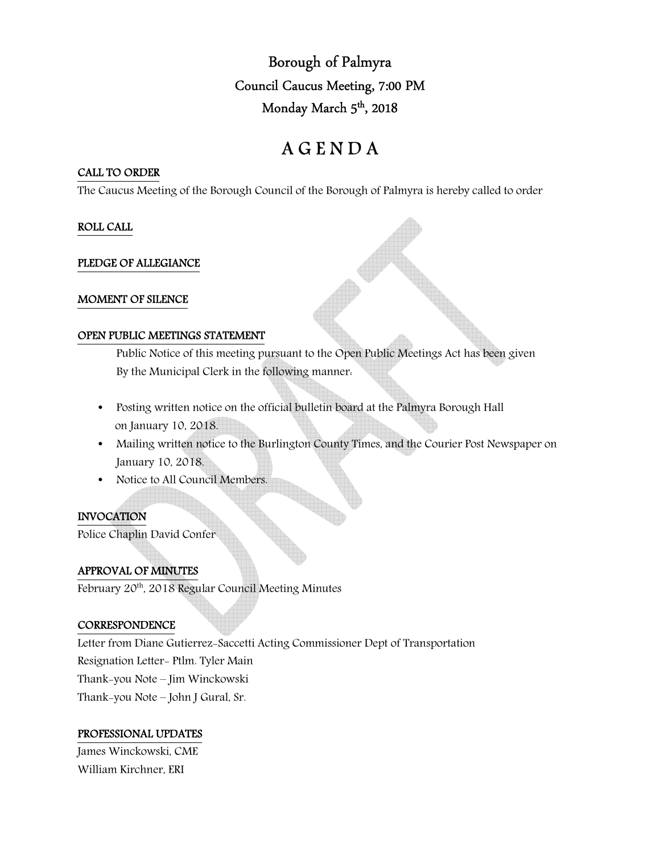Borough of Palmyra Council Caucus Meeting, 7:00 PM Monday March 5 th, 2018

# A G E N D A

#### CALL TO ORDER

The Caucus Meeting of the Borough Council of the Borough of Palmyra is hereby called to order

# ROLL CALL

## PLEDGE OF ALLEGIANCE

## MOMENT OF SILENCE

## OPEN PUBLIC MEETINGS STATEMENT

 Public Notice of this meeting pursuant to the Open Public Meetings Act has been given By the Municipal Clerk in the following manner:

- Posting written notice on the official bulletin board at the Palmyra Borough Hall on January 10, 2018.
- Mailing written notice to the Burlington County Times, and the Courier Post Newspaper on January 10, 2018.
- Notice to All Council Members.

# INVOCATION

Police Chaplin David Confer

# APPROVAL OF MINUTES

February 20<sup>th</sup>, 2018 Regular Council Meeting Minutes

# **CORRESPONDENCE**

Letter from Diane Gutierrez-Saccetti Acting Commissioner Dept of Transportation Resignation Letter- Ptlm. Tyler Main Thank-you Note – Jim Winckowski Thank-you Note – John J Gural, Sr.

# PROFESSIONAL UPDATES

James Winckowski, CME William Kirchner, ERI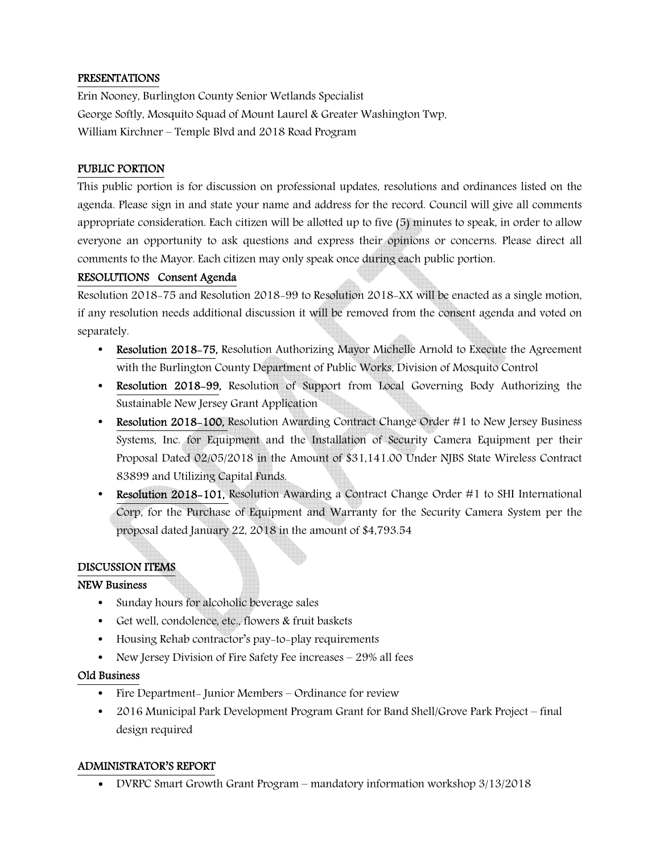## PRESENTATIONS

Erin Nooney, Burlington County Senior Wetlands Specialist George Softly, Mosquito Squad of Mount Laurel & Greater Washington Twp. William Kirchner – Temple Blvd and 2018 Road Program

## PUBLIC PORTION

This public portion is for discussion on professional updates, resolutions and ordinances listed on the agenda. Please sign in and state your name and address for the record. Council will give all comments appropriate consideration. Each citizen will be allotted up to five (5) minutes to speak, in order to allow everyone an opportunity to ask questions and express their opinions or concerns. Please direct all comments to the Mayor. Each citizen may only speak once during each public portion.

## RESOLUTIONS Consent Agenda

Resolution 2018-75 and Resolution 2018-99 to Resolution 2018-XX will be enacted as a single motion, if any resolution needs additional discussion it will be removed from the consent agenda and voted on separately.

- Resolution 2018–75, Resolution Authorizing Mayor Michelle Arnold to Execute the Agreement with the Burlington County Department of Public Works, Division of Mosquito Control
- Resolution 2018-99, Resolution of Support from Local Governing Body Authorizing the Sustainable New Jersey Grant Application
- Resolution 2018-100, Resolution Awarding Contract Change Order #1 to New Jersey Business Systems, Inc. for Equipment and the Installation of Security Camera Equipment per their Proposal Dated 02/05/2018 in the Amount of \$31,141.00 Under NJBS State Wireless Contract 83899 and Utilizing Capital Funds.
- Resolution 2018–101, Resolution Awarding a Contract Change Order #1 to SHI International Corp, for the Purchase of Equipment and Warranty for the Security Camera System per the proposal dated January 22, 2018 in the amount of \$4,793.54

# DISCUSSION ITEMS

#### NEW Business

- Sunday hours for alcoholic beverage sales
- Get well, condolence, etc., flowers & fruit baskets
- Housing Rehab contractor's pay-to-play requirements
- New Jersey Division of Fire Safety Fee increases 29% all fees

#### Old Business

- Fire Department- Junior Members Ordinance for review
- 2016 Municipal Park Development Program Grant for Band Shell/Grove Park Project final design required

#### ADMINISTRATOR'S REPORT

• DVRPC Smart Growth Grant Program – mandatory information workshop 3/13/2018